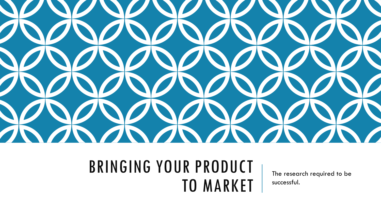

### BRINGING YOUR PRODUCT TO MARKET

The research required to be successful.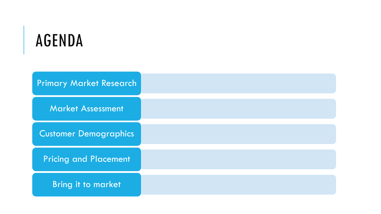# AGENDA

| <b>Primary Market Research</b> |  |
|--------------------------------|--|
| <b>Market Assessment</b>       |  |
| <b>Customer Demographics</b>   |  |
| <b>Pricing and Placement</b>   |  |
| <b>Bring it to market</b>      |  |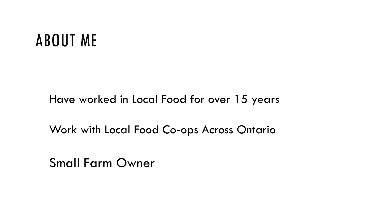### ABOUT ME

### Have worked in Local Food for over 15 years

Work with Local Food Co-ops Across Ontario

Small Farm Owner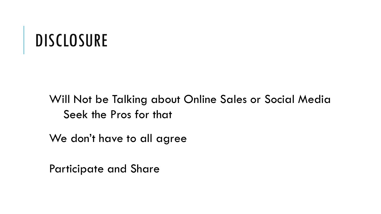### DISCLOSURE

### Will Not be Talking about Online Sales or Social Media Seek the Pros for that

We don't have to all agree

Participate and Share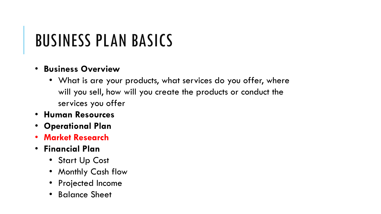## BUSINESS PLAN BASICS

### • **Business Overview**

- What is are your products, what services do you offer, where will you sell, how will you create the products or conduct the services you offer
- **Human Resources**
- **Operational Plan**
- **Market Research**
- **Financial Plan**
	- Start Up Cost
	- Monthly Cash flow
	- Projected Income
	- Balance Sheet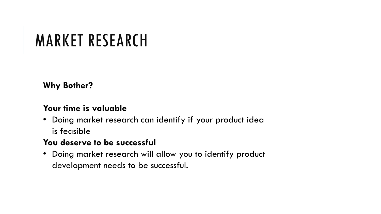# MARKET RESEARCH

**Why Bother?** 

#### **Your time is valuable**

• Doing market research can identify if your product idea is feasible

#### **You deserve to be successful**

• Doing market research will allow you to identify product development needs to be successful.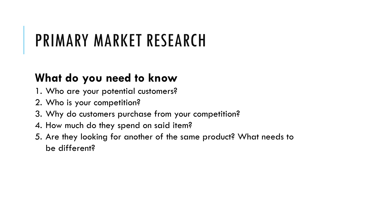## PRIMARY MARKET RESEARCH

### **What do you need to know**

- 1. Who are your potential customers?
- 2. Who is your competition?
- 3. Why do customers purchase from your competition?
- 4. How much do they spend on said item?
- 5. Are they looking for another of the same product? What needs to be different?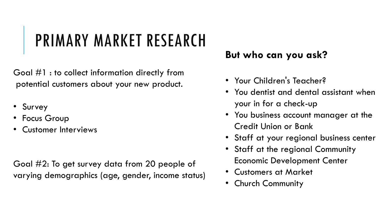# PRIMARY MARKET RESEARCH

Goal #1 : to collect information directly from potential customers about your new product.

- Survey
- Focus Group
- Customer Interviews

Goal #2: To get survey data from 20 people of varying demographics (age, gender, income status)

### **But who can you ask?**

- Your Children's Teacher?
- You dentist and dental assistant when your in for a check-up
- You business account manager at the Credit Union or Bank
- Staff at your regional business center
- Staff at the regional Community Economic Development Center
- Customers at Market
- Church Community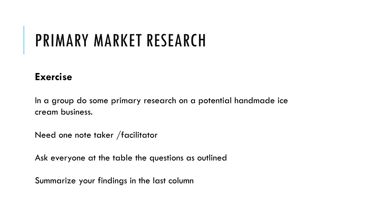## PRIMARY MARKET RESEARCH

### **Exercise**

In a group do some primary research on a potential handmade ice cream business.

Need one note taker /facilitator

Ask everyone at the table the questions as outlined

Summarize your findings in the last column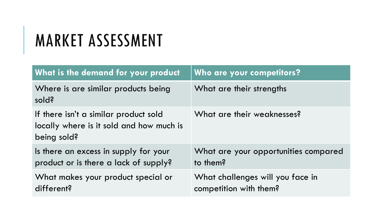# MARKET ASSESSMENT

| What is the demand for your product                                                              | Who are your competitors?                                  |
|--------------------------------------------------------------------------------------------------|------------------------------------------------------------|
| Where is are similar products being<br>sold?                                                     | What are their strengths                                   |
| If there isn't a similar product sold<br>locally where is it sold and how much is<br>being sold? | What are their weaknesses?                                 |
| Is there an excess in supply for your<br>product or is there a lack of supply?                   | What are your opportunities compared<br>to them?           |
| What makes your product special or<br>different?                                                 | What challenges will you face in<br>competition with them? |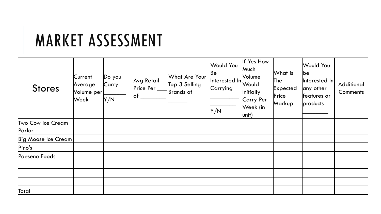## MARKET ASSESSMENT

| <b>Stores</b>               | Current<br>Average<br>Volume per<br> Week | Do you<br>Carry<br>Y/N | Avg Retail<br>Price Per $\_$<br>$ $ of | What Are Your<br>Top 3 Selling<br>Brands of | Would You<br> Be<br>Interested In<br>Carrying<br>Y/N | If Yes How<br>Much<br>Volume<br>Would<br><i>Initially</i><br>Carry Per<br>Week (in<br>$ unit\rangle$ | What is<br> The<br>Expected<br>Price<br>Markup | <b>Would You</b><br>lbe<br>$ $ Interested In $ $<br>any other<br>features or<br>products | Additional<br>Comments |
|-----------------------------|-------------------------------------------|------------------------|----------------------------------------|---------------------------------------------|------------------------------------------------------|------------------------------------------------------------------------------------------------------|------------------------------------------------|------------------------------------------------------------------------------------------|------------------------|
| Two Cow Ice Cream<br>Parlor |                                           |                        |                                        |                                             |                                                      |                                                                                                      |                                                |                                                                                          |                        |
| Big Moose Ice Cream         |                                           |                        |                                        |                                             |                                                      |                                                                                                      |                                                |                                                                                          |                        |
| Pino's                      |                                           |                        |                                        |                                             |                                                      |                                                                                                      |                                                |                                                                                          |                        |
| Paeseno Foods               |                                           |                        |                                        |                                             |                                                      |                                                                                                      |                                                |                                                                                          |                        |
|                             |                                           |                        |                                        |                                             |                                                      |                                                                                                      |                                                |                                                                                          |                        |
|                             |                                           |                        |                                        |                                             |                                                      |                                                                                                      |                                                |                                                                                          |                        |
|                             |                                           |                        |                                        |                                             |                                                      |                                                                                                      |                                                |                                                                                          |                        |
| Total                       |                                           |                        |                                        |                                             |                                                      |                                                                                                      |                                                |                                                                                          |                        |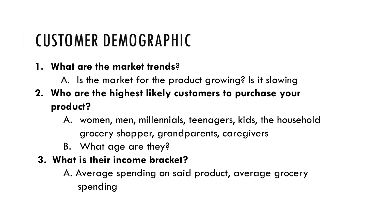# CUSTOMER DEMOGRAPHIC

- **1. What are the market trends**?
	- A. Is the market for the product growing? Is it slowing
- **2. Who are the highest likely customers to purchase your product?**
	- A. women, men, millennials, teenagers, kids, the household grocery shopper, grandparents, caregivers
	- B. What age are they?

### **3. What is their income bracket?**

A. Average spending on said product, average grocery spending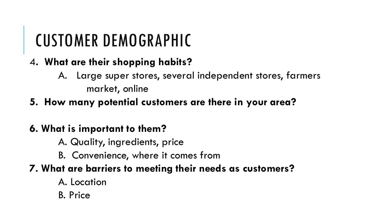# CUSTOMER DEMOGRAPHIC

- 4**. What are their shopping habits?**
	- A. Large super stores, several independent stores, farmers market, online
- **5. How many potential customers are there in your area?**

### **6. What is important to them?**

- A. Quality, ingredients, price
- B. Convenience, where it comes from

### **7. What are barriers to meeting their needs as customers?**

- A. Location
- B. Price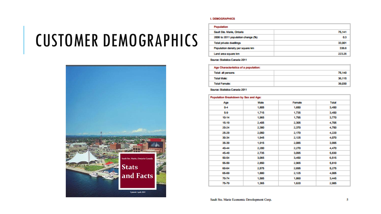## CUSTOMER DEMOGRAPHICS



#### I. DEMOGRAPHICS

| Population                         |        |
|------------------------------------|--------|
| Sault Ste. Marie, Ontario          | 75.141 |
| 2006 to 2011 population change (%) | 0.3    |
| <b>Total private dwellings</b>     | 33,901 |
| Population density per square km   | 336.6  |
| Land area square km                | 223.26 |

Source: Statistics Canada 2011

| Age Characteristics of a population: |        |  |
|--------------------------------------|--------|--|
| <b>Total: all persons</b>            | 75,140 |  |
| <b>Total Make:</b>                   | 36,115 |  |
| <b>Total Female:</b>                 | 39,030 |  |

Source: Statistics Canada 2011

| Population Breakdown by Sex and Age: |       |        |              |  |
|--------------------------------------|-------|--------|--------------|--|
| Age                                  | Male  | Female | <b>Total</b> |  |
| $0 - 4$                              | 1,805 | 1,650  | 3,450        |  |
| 59                                   | 1,715 | 1,735  | 3,450        |  |
| 10-14                                | 1,965 | 1,795  | 3,770        |  |
| 15-19                                | 2,405 | 2,305  | 4,705        |  |
| 20-24                                | 2,380 | 2,370  | 4,750        |  |
| 25-29                                | 2,050 | 2,170  | 4,220        |  |
| 30-34                                | 1,945 | 2,125  | 4,070        |  |
| 35-39                                | 1,915 | 2,085  | 3,995        |  |
| 40-44                                | 2,200 | 2,270  | 4,470        |  |
| 45.49                                | 2,735 | 3,095  | 5,830        |  |
| 50-54                                | 3,065 | 3,450  | 6,515        |  |
| 55-59                                | 2,850 | 2,965  | 5,810        |  |
| 60-64                                | 2,575 | 2,695  | 5,275        |  |
| 65-69                                | 1,880 | 2,125  | 4,005        |  |
| 70-74                                | 1,585 | 1,860  | 3,445        |  |
| 75-79                                | 1,365 | 1,620  | 2,985        |  |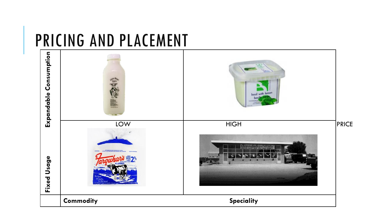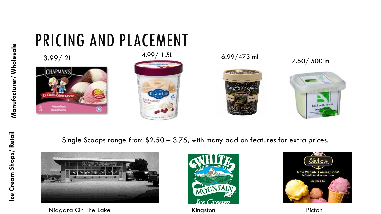### PRICING AND PLACEMENT  $3.99/ 2L$   $4.99/ 1.5L$   $6.99/473$  ml  $7.50/ 500$  ml



4.99/ 1.5L







Single Scoops range from \$2.50 – 3.75, with many add on features for extra prices.



Niagara On The Lake **Example 2018** Kingston **Picton** Picton



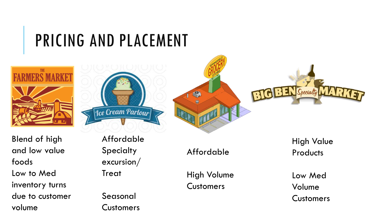



Tce Cream Parlour

Blend of high and low value foods Low to Med inventory turns due to customer volume

Affordable **Specialty** excursion/ Treat

Seasonal Customers Affordable

High Volume **Customers** 

**Products** 

High Value

**RBEN** Specialty

Low Med Volume **Customers**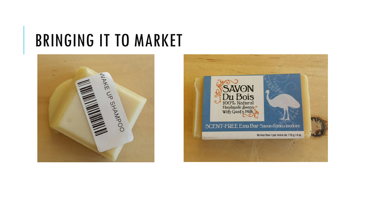### BRINGING IT TO MARKET



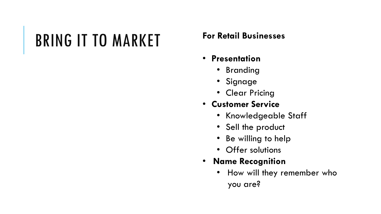# BRING IT TO MARKET **For Retail Businesses**

- **Presentation**
	- Branding
	- Signage
	- Clear Pricing
- **Customer Service**
	- Knowledgeable Staff
	- Sell the product
	- Be willing to help
	- Offer solutions
- **Name Recognition**
	- How will they remember who you are?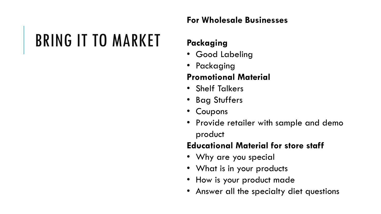### **For Wholesale Businesses**

# BRING IT TO MARKET

### **Packaging**

- Good Labeling
- Packaging

### **Promotional Material**

- Shelf Talkers
- Bag Stuffers
- Coupons
- Provide retailer with sample and demo product

### **Educational Material for store staff**

- Why are you special
- What is in your products
- How is your product made
- Answer all the specialty diet questions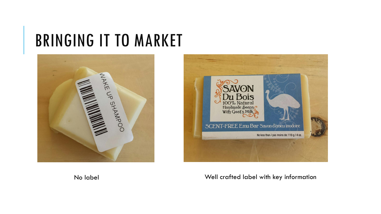### BRINGING IT TO MARKET





No label Well crafted label with key information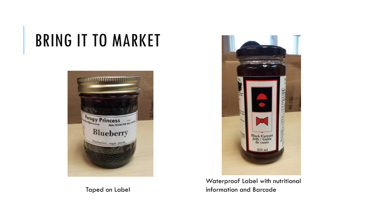# BRING IT TO MARKET



Taped on Label



Waterproof Label with nutritional information and Barcode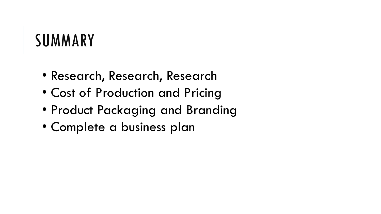## SUMMARY

- Research, Research, Research
- Cost of Production and Pricing
- Product Packaging and Branding
- Complete a business plan